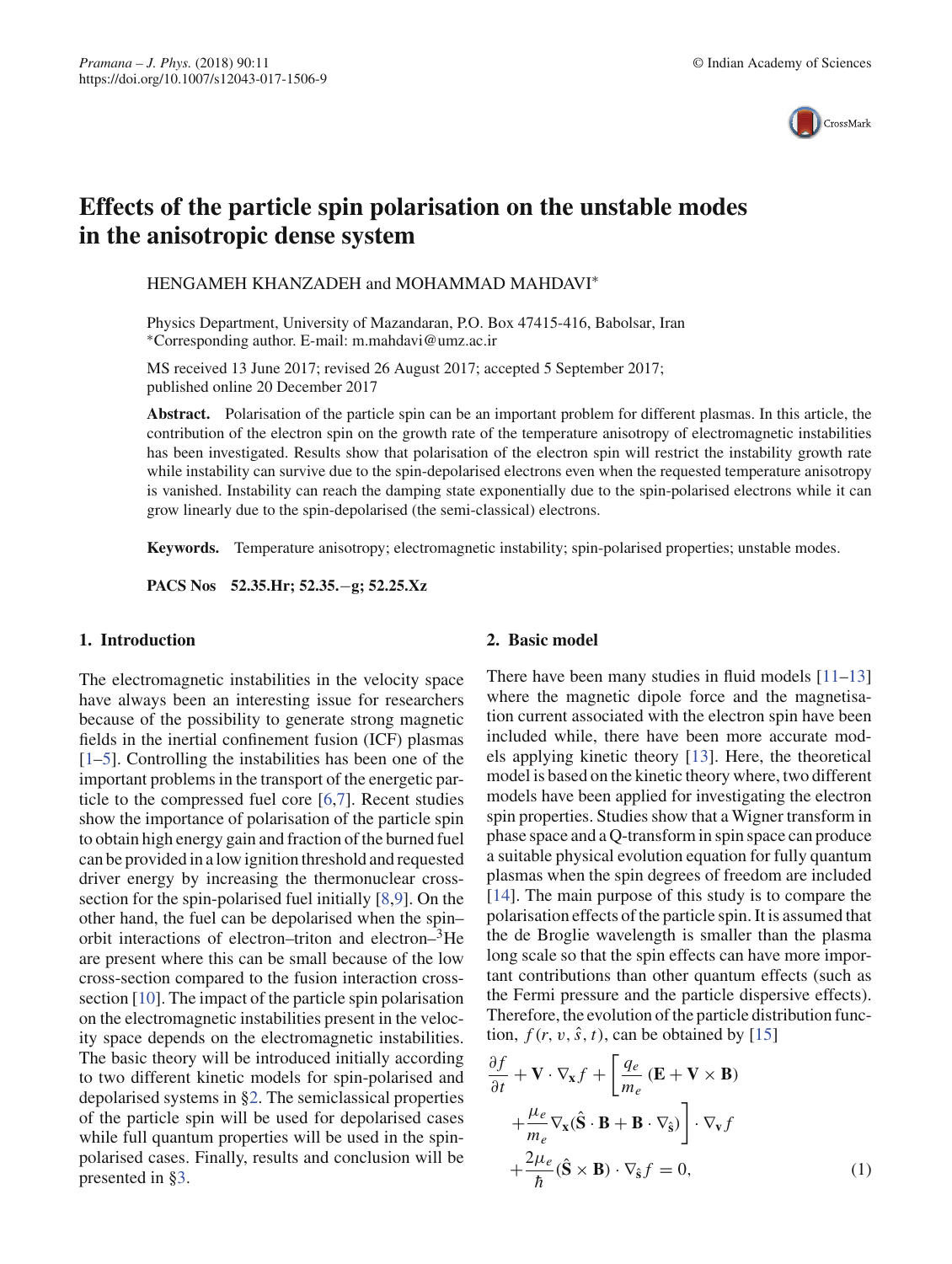

# **Effects of the particle spin polarisation on the unstable modes in the anisotropic dense system**

HENGAMEH KHANZADEH and MOHAMMAD MAHDAVI<sup>\*</sup>

Physics Department, University of Mazandaran, P.O. Box 47415-416, Babolsar, Iran ∗Corresponding author. E-mail: m.mahdavi@umz.ac.ir

MS received 13 June 2017; revised 26 August 2017; accepted 5 September 2017; published online 20 December 2017

**Abstract.** Polarisation of the particle spin can be an important problem for different plasmas. In this article, the contribution of the electron spin on the growth rate of the temperature anisotropy of electromagnetic instabilities has been investigated. Results show that polarisation of the electron spin will restrict the instability growth rate while instability can survive due to the spin-depolarised electrons even when the requested temperature anisotropy is vanished. Instability can reach the damping state exponentially due to the spin-polarised electrons while it can grow linearly due to the spin-depolarised (the semi-classical) electrons.

**Keywords.** Temperature anisotropy; electromagnetic instability; spin-polarised properties; unstable modes.

**PACS Nos 52.35.Hr; 52.35.**−**g; 52.25.Xz**

#### **1. Introduction**

The electromagnetic instabilities in the velocity space have always been an interesting issue for researchers because of the possibility to generate strong magnetic fields in the inertial confinement fusion (ICF) plasmas [1–5]. Controlling the instabilities has been one of the important problems in the transport of the energetic particle to the compressed fuel core [6,7]. Recent studies show the importance of polarisation of the particle spin to obtain high energy gain and fraction of the burned fuel can be provided in a low ignition threshold and requested driver energy by increasing the thermonuclear crosssection for the spin-polarised fuel initially [8,9]. On the other hand, the fuel can be depolarised when the spin– orbit interactions of electron–triton and electron–<sup>3</sup>He are present where this can be small because of the low cross-section compared to the fusion interaction crosssection [10]. The impact of the particle spin polarisation on the electromagnetic instabilities present in the velocity space depends on the electromagnetic instabilities. The basic theory will be introduced initially according to two different kinetic models for spin-polarised and depolarised systems in §2. The semiclassical properties of the particle spin will be used for depolarised cases while full quantum properties will be used in the spinpolarised cases. Finally, results and conclusion will be presented in §3.

## **2. Basic model**

There have been many studies in fluid models [11–13] where the magnetic dipole force and the magnetisation current associated with the electron spin have been included while, there have been more accurate models applying kinetic theory [13]. Here, the theoretical model is based on the kinetic theory where, two different models have been applied for investigating the electron spin properties. Studies show that a Wigner transform in phase space and a Q-transform in spin space can produce a suitable physical evolution equation for fully quantum plasmas when the spin degrees of freedom are included [14]. The main purpose of this study is to compare the polarisation effects of the particle spin. It is assumed that the de Broglie wavelength is smaller than the plasma long scale so that the spin effects can have more important contributions than other quantum effects (such as the Fermi pressure and the particle dispersive effects). Therefore, the evolution of the particle distribution function,  $f(r, v, \hat{s}, t)$ , can be obtained by [15]

$$
\frac{\partial f}{\partial t} + \mathbf{V} \cdot \nabla_{\mathbf{x}} f + \left[ \frac{q_e}{m_e} \left( \mathbf{E} + \mathbf{V} \times \mathbf{B} \right) \right. \n+ \frac{\mu_e}{m_e} \nabla_{\mathbf{x}} (\hat{\mathbf{S}} \cdot \mathbf{B} + \mathbf{B} \cdot \nabla_{\hat{\mathbf{s}}} ) \right] \cdot \nabla_{\mathbf{v}} f \n+ \frac{2\mu_e}{\hbar} (\hat{\mathbf{S}} \times \mathbf{B}) \cdot \nabla_{\hat{\mathbf{s}}} f = 0,
$$
\n(1)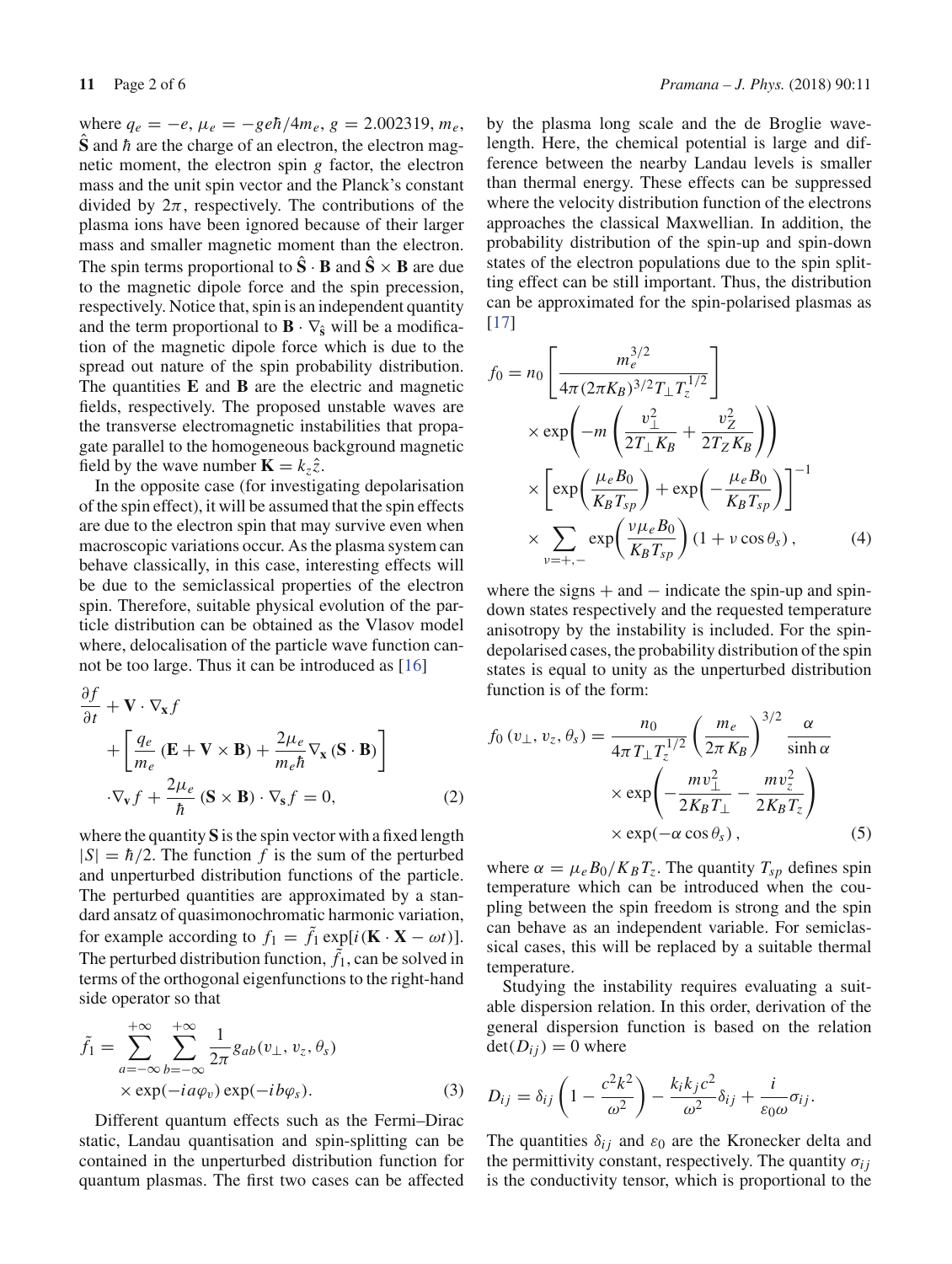where  $q_e = -e$ ,  $\mu_e = -\frac{ge\hbar}{4m_e}$ ,  $g = 2.002319$ ,  $m_e$ ,  $\hat{\bf S}$  and  $\hbar$  are the charge of an electron, the electron magnetic moment, the electron spin *g* factor, the electron mass and the unit spin vector and the Planck's constant divided by  $2\pi$ , respectively. The contributions of the plasma ions have been ignored because of their larger mass and smaller magnetic moment than the electron. The spin terms proportional to  $\hat{S} \cdot B$  and  $\hat{S} \times B$  are due to the magnetic dipole force and the spin precession, respectively. Notice that, spin is an independent quantity and the term proportional to  $\mathbf{B} \cdot \nabla_{\hat{\mathbf{s}}}$  will be a modification of the magnetic dipole force which is due to the spread out nature of the spin probability distribution. The quantities **E** and **B** are the electric and magnetic fields, respectively. The proposed unstable waves are the transverse electromagnetic instabilities that propagate parallel to the homogeneous background magnetic field by the wave number  $\mathbf{K} = k_z \hat{z}$ .

In the opposite case (for investigating depolarisation of the spin effect), it will be assumed that the spin effects are due to the electron spin that may survive even when macroscopic variations occur. As the plasma system can behave classically, in this case, interesting effects will be due to the semiclassical properties of the electron spin. Therefore, suitable physical evolution of the particle distribution can be obtained as the Vlasov model where, delocalisation of the particle wave function cannot be too large. Thus it can be introduced as [16]

$$
\frac{\partial f}{\partial t} + \mathbf{V} \cdot \nabla_{\mathbf{x}} f
$$
\n
$$
+ \left[ \frac{q_e}{m_e} \left( \mathbf{E} + \mathbf{V} \times \mathbf{B} \right) + \frac{2\mu_e}{m_e \hbar} \nabla_{\mathbf{x}} \left( \mathbf{S} \cdot \mathbf{B} \right) \right]
$$
\n
$$
\cdot \nabla_{\mathbf{v}} f + \frac{2\mu_e}{\hbar} \left( \mathbf{S} \times \mathbf{B} \right) \cdot \nabla_{\mathbf{s}} f = 0,
$$
\n(2)

where the quantity **S** is the spin vector with a fixed length  $|S| = \hbar/2$ . The function *f* is the sum of the perturbed and unperturbed distribution functions of the particle. The perturbed quantities are approximated by a standard ansatz of quasimonochromatic harmonic variation, for example according to  $f_1 = \tilde{f}_1 \exp[i(\mathbf{K} \cdot \mathbf{X} - \omega t)].$ The perturbed distribution function,  $\tilde{f}_1$ , can be solved in terms of the orthogonal eigenfunctions to the right-hand side operator so that

$$
\tilde{f}_1 = \sum_{a=-\infty}^{+\infty} \sum_{b=-\infty}^{+\infty} \frac{1}{2\pi} g_{ab}(v_{\perp}, v_z, \theta_s)
$$
  
× exp(-*i*  $a\varphi_v$ ) exp(-*i*  $b\varphi_s$ ). (3)

Different quantum effects such as the Fermi–Dirac static, Landau quantisation and spin-splitting can be contained in the unperturbed distribution function for quantum plasmas. The first two cases can be affected by the plasma long scale and the de Broglie wavelength. Here, the chemical potential is large and difference between the nearby Landau levels is smaller than thermal energy. These effects can be suppressed where the velocity distribution function of the electrons approaches the classical Maxwellian. In addition, the probability distribution of the spin-up and spin-down states of the electron populations due to the spin splitting effect can be still important. Thus, the distribution can be approximated for the spin-polarised plasmas as [17]

$$
f_0 = n_0 \left[ \frac{m_e^{3/2}}{4\pi (2\pi K_B)^{3/2} T_\perp T_z^{1/2}} \right]
$$
  
\n
$$
\times \exp\left(-m \left(\frac{v_\perp^2}{2T_\perp K_B} + \frac{v_Z^2}{2T_Z K_B}\right)\right)
$$
  
\n
$$
\times \left[ \exp\left(\frac{\mu_e B_0}{K_B T_{sp}}\right) + \exp\left(-\frac{\mu_e B_0}{K_B T_{sp}}\right) \right]^{-1}
$$
  
\n
$$
\times \sum_{v=+,-} \exp\left(\frac{v\mu_e B_0}{K_B T_{sp}}\right) (1 + v \cos \theta_s), \tag{4}
$$

where the signs  $+$  and  $-$  indicate the spin-up and spindown states respectively and the requested temperature anisotropy by the instability is included. For the spindepolarised cases, the probability distribution of the spin states is equal to unity as the unperturbed distribution function is of the form:

$$
f_0(v_\perp, v_z, \theta_s) = \frac{n_0}{4\pi T_\perp T_z^{1/2}} \left(\frac{m_e}{2\pi K_B}\right)^{3/2} \frac{\alpha}{\sinh \alpha}
$$

$$
\times \exp\left(-\frac{mv_\perp^2}{2K_B T_\perp} - \frac{mv_z^2}{2K_B T_z}\right)
$$

$$
\times \exp(-\alpha \cos \theta_s), \qquad (5)
$$

where  $\alpha = \mu_e B_0 / K_B T_z$ . The quantity  $T_{sp}$  defines spin temperature which can be introduced when the coupling between the spin freedom is strong and the spin can behave as an independent variable. For semiclassical cases, this will be replaced by a suitable thermal temperature.

Studying the instability requires evaluating a suitable dispersion relation. In this order, derivation of the general dispersion function is based on the relation  $\det(D_{ij}) = 0$  where

$$
D_{ij} = \delta_{ij} \left( 1 - \frac{c^2 k^2}{\omega^2} \right) - \frac{k_i k_j c^2}{\omega^2} \delta_{ij} + \frac{i}{\varepsilon_0 \omega} \sigma_{ij}.
$$

The quantities  $\delta_{ij}$  and  $\varepsilon_0$  are the Kronecker delta and the permittivity constant, respectively. The quantity  $\sigma_{ij}$ is the conductivity tensor, which is proportional to the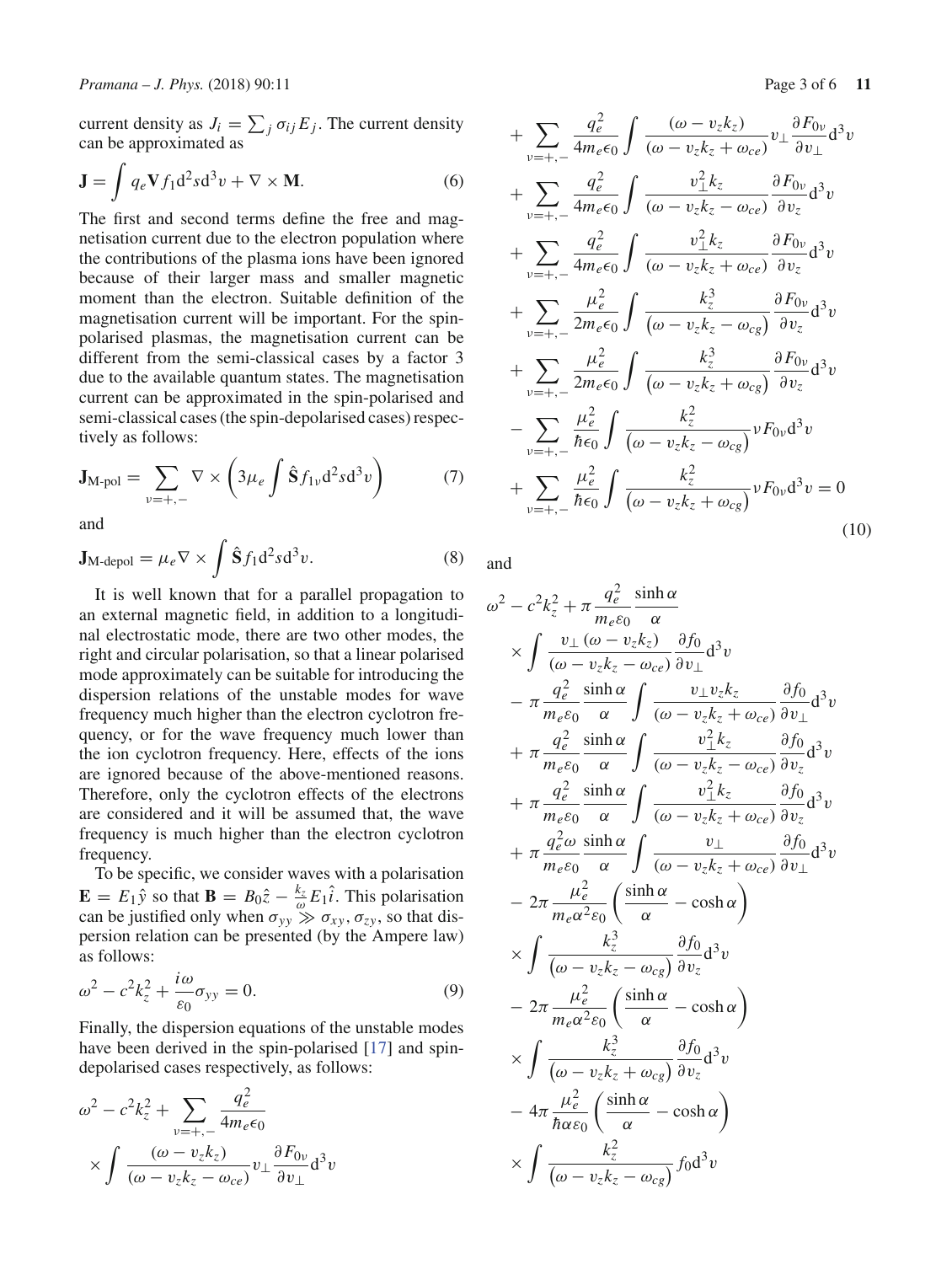current density as  $J_i = \sum_j \sigma_{ij} E_j$ . The current density can be approximated as

$$
\mathbf{J} = \int q_e \mathbf{V} f_1 d^2 s d^3 v + \nabla \times \mathbf{M}.
$$
 (6)

The first and second terms define the free and magnetisation current due to the electron population where the contributions of the plasma ions have been ignored because of their larger mass and smaller magnetic moment than the electron. Suitable definition of the magnetisation current will be important. For the spinpolarised plasmas, the magnetisation current can be different from the semi-classical cases by a factor 3 due to the available quantum states. The magnetisation current can be approximated in the spin-polarised and semi-classical cases (the spin-depolarised cases) respectively as follows:

$$
\mathbf{J}_{\mathrm{M-pol}} = \sum_{v=+,-} \nabla \times \left(3\mu_e \int \hat{\mathbf{S}} f_{1v} d^2 s d^3 v\right) \tag{7}
$$

and

$$
\mathbf{J}_{\text{M-depol}} = \mu_e \nabla \times \int \hat{\mathbf{S}} f_1 d^2 s d^3 v. \tag{8}
$$

It is well known that for a parallel propagation to an external magnetic field, in addition to a longitudinal electrostatic mode, there are two other modes, the right and circular polarisation, so that a linear polarised mode approximately can be suitable for introducing the dispersion relations of the unstable modes for wave frequency much higher than the electron cyclotron frequency, or for the wave frequency much lower than the ion cyclotron frequency. Here, effects of the ions are ignored because of the above-mentioned reasons. Therefore, only the cyclotron effects of the electrons are considered and it will be assumed that, the wave frequency is much higher than the electron cyclotron frequency.

To be specific, we consider waves with a polarisation  $\mathbf{E} = E_1 \hat{y}$  so that  $\mathbf{B} = B_0 \hat{z} - \frac{k_z}{\omega} E_1 \hat{i}$ . This polarisation can be justified only when  $\sigma_{yy} \gg \sigma_{xy}, \sigma_{zy}$ , so that dispersion relation can be presented (by the Ampere law) as follows:

$$
\omega^2 - c^2 k_z^2 + \frac{i\omega}{\varepsilon_0} \sigma_{yy} = 0.
$$
\n(9)

Finally, the dispersion equations of the unstable modes have been derived in the spin-polarised [17] and spindepolarised cases respectively, as follows:

$$
\omega^2 - c^2 k_z^2 + \sum_{v = +, -} \frac{q_e^2}{4m_e \epsilon_0}
$$

$$
\times \int \frac{(\omega - v_z k_z)}{(\omega - v_z k_z - \omega_{ce})} v_\perp \frac{\partial F_{0v}}{\partial v_\perp} d^3 v
$$

+ 
$$
\sum_{\nu = +,-} \frac{q_e^2}{4m_e \epsilon_0} \int \frac{(\omega - v_z k_z)}{(\omega - v_z k_z + \omega_{ce})} v_{\perp} \frac{\partial F_{0\nu}}{\partial v_{\perp}} d^3 v
$$
  
+ 
$$
\sum_{\nu = +,-} \frac{q_e^2}{4m_e \epsilon_0} \int \frac{v_{\perp}^2 k_z}{(\omega - v_z k_z - \omega_{ce})} \frac{\partial F_{0\nu}}{\partial v_z} d^3 v
$$
  
+ 
$$
\sum_{\nu = +,-} \frac{q_e^2}{4m_e \epsilon_0} \int \frac{v_{\perp}^2 k_z}{(\omega - v_z k_z + \omega_{ce})} \frac{\partial F_{0\nu}}{\partial v_z} d^3 v
$$
  
+ 
$$
\sum_{\nu = +,-} \frac{\mu_e^2}{2m_e \epsilon_0} \int \frac{k_z^3}{(\omega - v_z k_z - \omega_{cg})} \frac{\partial F_{0\nu}}{\partial v_z} d^3 v
$$
  
+ 
$$
\sum_{\nu = +,-} \frac{\mu_e^2}{2m_e \epsilon_0} \int \frac{k_z^3}{(\omega - v_z k_z + \omega_{cg})} \frac{\partial F_{0\nu}}{\partial v_z} d^3 v
$$
  
- 
$$
\sum_{\nu = +,-} \frac{\mu_e^2}{\hbar \epsilon_0} \int \frac{k_z^2}{(\omega - v_z k_z - \omega_{cg})} v F_{0\nu} d^3 v
$$
  
+ 
$$
\sum_{\nu = +,-} \frac{\mu_e^2}{\hbar \epsilon_0} \int \frac{k_z^2}{(\omega - v_z k_z + \omega_{cg})} v F_{0\nu} d^3 v = 0
$$
(10)

and

$$
\omega^{2} - c^{2}k_{z}^{2} + \pi \frac{q_{e}^{2}}{m_{e}\epsilon_{0}} \frac{\sinh \alpha}{\alpha}
$$
\n
$$
\times \int \frac{v_{\perp}(\omega - v_{z}k_{z})}{(\omega - v_{z}k_{z} - \omega_{ce})} \frac{\partial f_{0}}{\partial v_{\perp}} d^{3}v
$$
\n
$$
- \pi \frac{q_{e}^{2}}{m_{e}\epsilon_{0}} \frac{\sinh \alpha}{\alpha} \int \frac{v_{\perp}v_{z}k_{z}}{(\omega - v_{z}k_{z} + \omega_{ce})} \frac{\partial f_{0}}{\partial v_{\perp}} d^{3}v
$$
\n
$$
+ \pi \frac{q_{e}^{2}}{m_{e}\epsilon_{0}} \frac{\sinh \alpha}{\alpha} \int \frac{v_{\perp}^{2}k_{z}}{(\omega - v_{z}k_{z} - \omega_{ce})} \frac{\partial f_{0}}{\partial v_{z}} d^{3}v
$$
\n
$$
+ \pi \frac{q_{e}^{2}}{m_{e}\epsilon_{0}} \frac{\sinh \alpha}{\alpha} \int \frac{v_{\perp}^{2}k_{z}}{(\omega - v_{z}k_{z} + \omega_{ce})} \frac{\partial f_{0}}{\partial v_{z}} d^{3}v
$$
\n
$$
+ \pi \frac{q_{e}^{2}}{m_{e}\epsilon_{0}} \frac{\sinh \alpha}{\alpha} \int \frac{v_{\perp}}{(\omega - v_{z}k_{z} + \omega_{ce})} \frac{\partial f_{0}}{\partial v_{\perp}} d^{3}v
$$
\n
$$
- 2\pi \frac{\mu_{e}^{2}}{m_{e}\alpha^{2}\epsilon_{0}} \left(\frac{\sinh \alpha}{\alpha} - \cosh \alpha\right)
$$
\n
$$
\times \int \frac{k_{z}^{3}}{(\omega - v_{z}k_{z} - \omega_{cg})} \frac{\partial f_{0}}{\partial v_{z}} d^{3}v
$$
\n
$$
- 4\pi \frac{\mu_{e}^{2}}{m_{e}\alpha^{2}\epsilon_{0}} \left(\frac{\sinh \alpha}{\alpha} - \cosh \alpha\right)
$$
\n
$$
\times \int \frac{k_{z}^{3}}{(\omega - v_{z}k_{z} + \omega_{cg})} \frac{\partial f_{0}}{\partial v_{z}} d^{3}v
$$
\n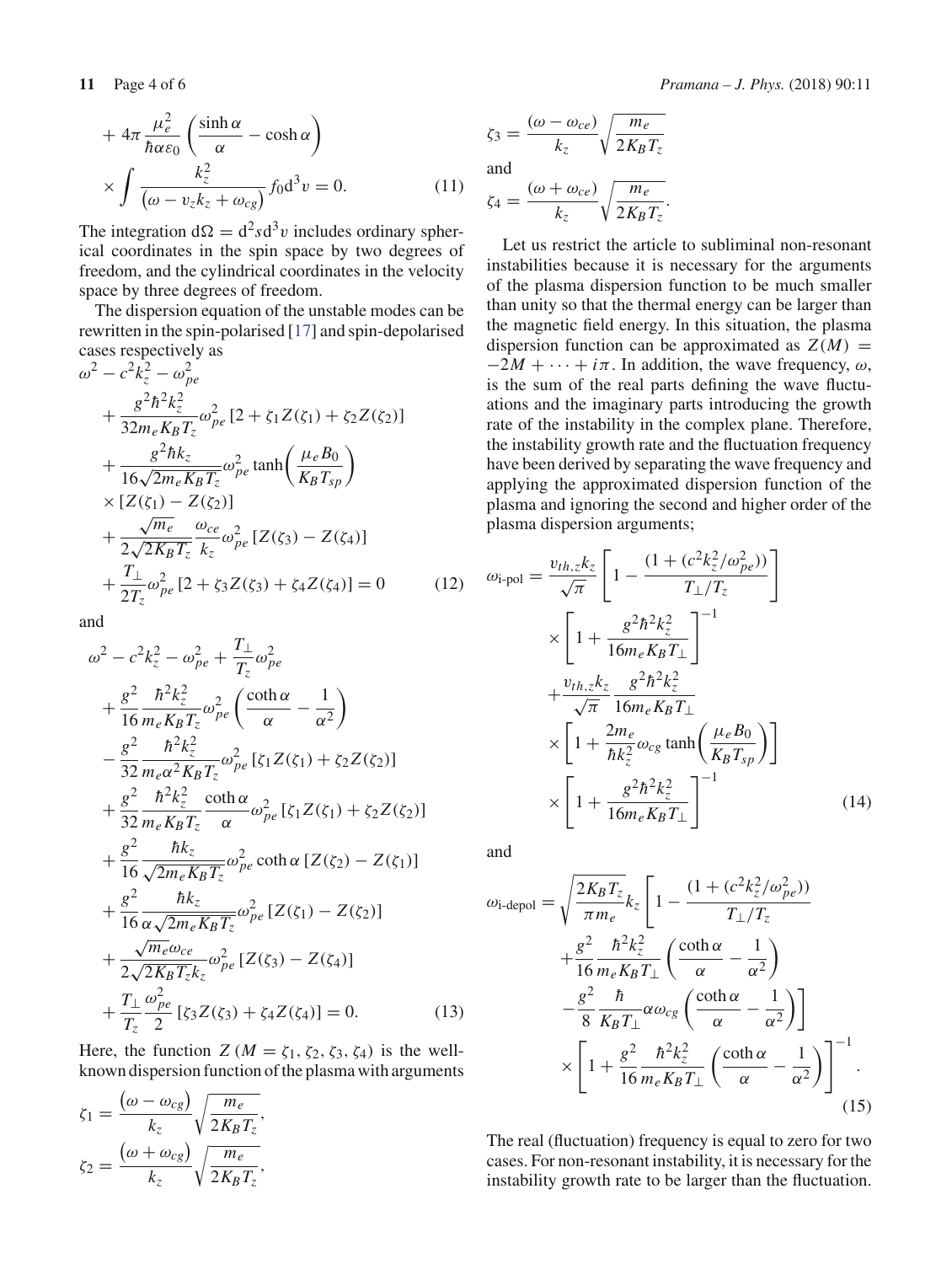$$
+ 4\pi \frac{\mu_e^2}{\hbar \alpha \varepsilon_0} \left( \frac{\sinh \alpha}{\alpha} - \cosh \alpha \right)
$$

$$
\times \int \frac{k_z^2}{(\omega - v_z k_z + \omega_{cg})} f_0 d^3 v = 0.
$$
 (11)

The integration  $d\Omega = d^2 s d^3 v$  includes ordinary spherical coordinates in the spin space by two degrees of freedom, and the cylindrical coordinates in the velocity space by three degrees of freedom.

The dispersion equation of the unstable modes can be rewritten in the spin-polarised [17] and spin-depolarised cases respectively as

$$
\omega^{2} - c^{2}k_{z}^{2} - \omega_{pe}^{2}
$$
\n
$$
+ \frac{g^{2}\hbar^{2}k_{z}^{2}}{32m_{e}K_{B}T_{z}}\omega_{pe}^{2}[2 + \zeta_{1}Z(\zeta_{1}) + \zeta_{2}Z(\zeta_{2})]
$$
\n
$$
+ \frac{g^{2}\hbar k_{z}}{16\sqrt{2m_{e}K_{B}T_{z}}}\omega_{pe}^{2}\tanh\left(\frac{\mu_{e}B_{0}}{K_{B}T_{sp}}\right)
$$
\n
$$
\times [Z(\zeta_{1}) - Z(\zeta_{2})]
$$
\n
$$
+ \frac{\sqrt{m_{e}}}{2\sqrt{2K_{B}T_{z}}}\frac{\omega_{ce}}{k_{z}}\omega_{pe}^{2}[Z(\zeta_{3}) - Z(\zeta_{4})]
$$
\n
$$
+ \frac{T_{\perp}}{2T_{z}}\omega_{pe}^{2}[2 + \zeta_{3}Z(\zeta_{3}) + \zeta_{4}Z(\zeta_{4})] = 0 \qquad (12)
$$

and

$$
\omega^{2} - c^{2}k_{z}^{2} - \omega_{pe}^{2} + \frac{T_{\perp}}{T_{z}}\omega_{pe}^{2}
$$
  
+  $\frac{g^{2}}{16} \frac{\hbar^{2}k_{z}^{2}}{m_{e}K_{B}T_{z}}\omega_{pe}^{2} \left(\frac{\coth \alpha}{\alpha} - \frac{1}{\alpha^{2}}\right)$   
-  $\frac{g^{2}}{32} \frac{\hbar^{2}k_{z}^{2}}{m_{e}\alpha^{2}K_{B}T_{z}}\omega_{pe}^{2} [\zeta_{1}Z(\zeta_{1}) + \zeta_{2}Z(\zeta_{2})]$   
+  $\frac{g^{2}}{32} \frac{\hbar^{2}k_{z}^{2}}{m_{e}K_{B}T_{z}} \frac{\coth \alpha}{\alpha} \omega_{pe}^{2} [\zeta_{1}Z(\zeta_{1}) + \zeta_{2}Z(\zeta_{2})]$   
+  $\frac{g^{2}}{16} \frac{\hbar k_{z}}{\sqrt{2m_{e}K_{B}T_{z}}} \omega_{pe}^{2} \coth \alpha [Z(\zeta_{2}) - Z(\zeta_{1})]$   
+  $\frac{g^{2}}{16} \frac{\hbar k_{z}}{\alpha \sqrt{2m_{e}K_{B}T_{z}}} \omega_{pe}^{2} [Z(\zeta_{1}) - Z(\zeta_{2})]$   
+  $\frac{\sqrt{m_{e}} \omega_{ce}}{2\sqrt{2K_{B}T_{z}}k_{z}} \omega_{pe}^{2} [Z(\zeta_{3}) - Z(\zeta_{4})]$   
+  $\frac{T_{\perp}}{T_{z}} \frac{\omega_{pe}^{2}}{2} [\zeta_{3}Z(\zeta_{3}) + \zeta_{4}Z(\zeta_{4})] = 0.$  (13)

Here, the function  $Z(M = \zeta_1, \zeta_2, \zeta_3, \zeta_4)$  is the wellknown dispersion function of the plasma with arguments

$$
\zeta_1 = \frac{(\omega - \omega_{cg})}{k_z} \sqrt{\frac{m_e}{2K_B T_z}},
$$

$$
\zeta_2 = \frac{(\omega + \omega_{cg})}{k_z} \sqrt{\frac{m_e}{2K_B T_z}},
$$

**11** Page 4 of 6 *Pramana – J. Phys.* (2018) 90:11

$$
\zeta_3 = \frac{(\omega - \omega_{ce})}{k_z} \sqrt{\frac{m_e}{2K_B T_z}}
$$
  
and

$$
\zeta_4 = \frac{(\omega + \omega_{ce})}{k_z} \sqrt{\frac{m_e}{2K_B T_z}}.
$$

Let us restrict the article to subliminal non-resonant instabilities because it is necessary for the arguments of the plasma dispersion function to be much smaller than unity so that the thermal energy can be larger than the magnetic field energy. In this situation, the plasma dispersion function can be approximated as  $Z(M)$  =  $-2M + \cdots + i\pi$ . In addition, the wave frequency,  $\omega$ , is the sum of the real parts defining the wave fluctuations and the imaginary parts introducing the growth rate of the instability in the complex plane. Therefore, the instability growth rate and the fluctuation frequency have been derived by separating the wave frequency and applying the approximated dispersion function of the plasma and ignoring the second and higher order of the plasma dispersion arguments;

$$
\omega_{\text{i-pol}} = \frac{v_{th,z}k_z}{\sqrt{\pi}} \left[ 1 - \frac{(1 + (c^2k_z^2/\omega_{pe}^2))}{T_\perp/T_z} \right]
$$

$$
\times \left[ 1 + \frac{g^2\hbar^2k_z^2}{16m_eK_BT_\perp} \right]^{-1}
$$

$$
+ \frac{v_{th,z}k_z}{\sqrt{\pi}} \frac{g^2\hbar^2k_z^2}{16m_eK_BT_\perp}
$$

$$
\times \left[ 1 + \frac{2m_e}{\hbar k_z^2} \omega_{cg} \tanh\left(\frac{\mu_e B_0}{K_BT_{sp}}\right) \right]
$$

$$
\times \left[ 1 + \frac{g^2\hbar^2k_z^2}{16m_eK_BT_\perp} \right]^{-1} \tag{14}
$$

and

$$
\omega_{\text{i-depol}} = \sqrt{\frac{2K_B T_z}{\pi m_e}} k_z \left[ 1 - \frac{(1 + (c^2 k_z^2/\omega_{pe}^2))}{T_\perp/T_z} + \frac{g^2}{16} \frac{\hbar^2 k_z^2}{m_e K_B T_\perp} \left( \frac{\coth \alpha}{\alpha} - \frac{1}{\alpha^2} \right) - \frac{g^2}{8} \frac{\hbar}{K_B T_\perp} \alpha \omega_{cg} \left( \frac{\coth \alpha}{\alpha} - \frac{1}{\alpha^2} \right) \right] \times \left[ 1 + \frac{g^2}{16} \frac{\hbar^2 k_z^2}{m_e K_B T_\perp} \left( \frac{\coth \alpha}{\alpha} - \frac{1}{\alpha^2} \right) \right]^{-1} . \tag{15}
$$

The real (fluctuation) frequency is equal to zero for two cases. For non-resonant instability, it is necessary for the instability growth rate to be larger than the fluctuation.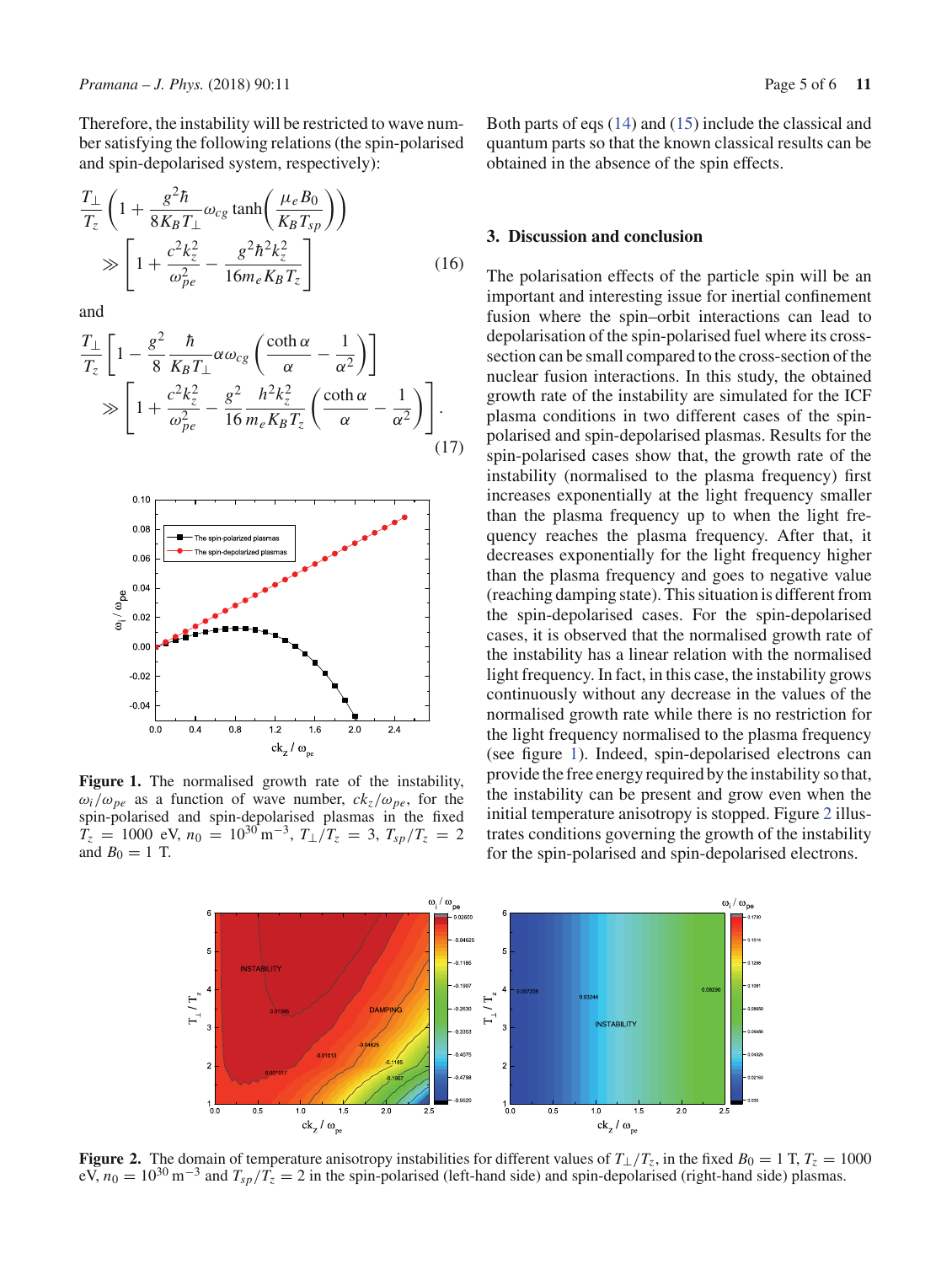Therefore, the instability will be restricted to wave number satisfying the following relations (the spin-polarised and spin-depolarised system, respectively):

$$
\frac{T_{\perp}}{T_z} \left( 1 + \frac{g^2 \hbar}{8K_B T_{\perp}} \omega_{cg} \tanh\left(\frac{\mu_e B_0}{K_B T_{sp}}\right) \right)
$$
\n
$$
\gg \left[ 1 + \frac{c^2 k_z^2}{\omega_{pe}^2} - \frac{g^2 \hbar^2 k_z^2}{16 m_e K_B T_z} \right] \tag{16}
$$

and

$$
\frac{T_{\perp}}{T_z} \left[ 1 - \frac{g^2}{8} \frac{\hbar}{K_B T_{\perp}} \alpha \omega_{cg} \left( \frac{\coth \alpha}{\alpha} - \frac{1}{\alpha^2} \right) \right]
$$
\n
$$
\gg \left[ 1 + \frac{c^2 k_z^2}{\omega_{pe}^2} - \frac{g^2}{16} \frac{h^2 k_z^2}{m_e K_B T_z} \left( \frac{\coth \alpha}{\alpha} - \frac{1}{\alpha^2} \right) \right].
$$
\n(17)



Figure 1. The normalised growth rate of the instability,  $\omega_i/\omega_{pe}$  as a function of wave number,  $ck_z/\omega_{pe}$ , for the spin-polarised and spin-depolarised plasmas in the fixed  $\dot{T_z}$  = 1000 eV,  $n_0$  = 10<sup>30</sup> m<sup>-3</sup>,  $T_{\perp}/T_z$  = 3,  $T_{sp}/T_z$  = 2 and  $B_0 = 1$  T.

### **3. Discussion and conclusion**

obtained in the absence of the spin effects.

The polarisation effects of the particle spin will be an important and interesting issue for inertial confinement fusion where the spin–orbit interactions can lead to depolarisation of the spin-polarised fuel where its crosssection can be small compared to the cross-section of the nuclear fusion interactions. In this study, the obtained growth rate of the instability are simulated for the ICF plasma conditions in two different cases of the spinpolarised and spin-depolarised plasmas. Results for the spin-polarised cases show that, the growth rate of the instability (normalised to the plasma frequency) first increases exponentially at the light frequency smaller than the plasma frequency up to when the light frequency reaches the plasma frequency. After that, it decreases exponentially for the light frequency higher than the plasma frequency and goes to negative value (reaching damping state). This situation is different from the spin-depolarised cases. For the spin-depolarised cases, it is observed that the normalised growth rate of the instability has a linear relation with the normalised light frequency. In fact, in this case, the instability grows continuously without any decrease in the values of the normalised growth rate while there is no restriction for the light frequency normalised to the plasma frequency (see figure 1). Indeed, spin-depolarised electrons can provide the free energy required by the instability so that, the instability can be present and grow even when the initial temperature anisotropy is stopped. Figure 2 illustrates conditions governing the growth of the instability for the spin-polarised and spin-depolarised electrons.



**Figure 2.** The domain of temperature anisotropy instabilities for different values of  $T_{\perp}/T_z$ , in the fixed  $B_0 = 1$  T,  $T_z = 1000$ eV,  $n_0 = 10^{30} \text{ m}^{-3}$  and  $T_{sp}/T_z = 2$  in the spin-polarised (left-hand side) and spin-depolarised (right-hand side) plasmas.